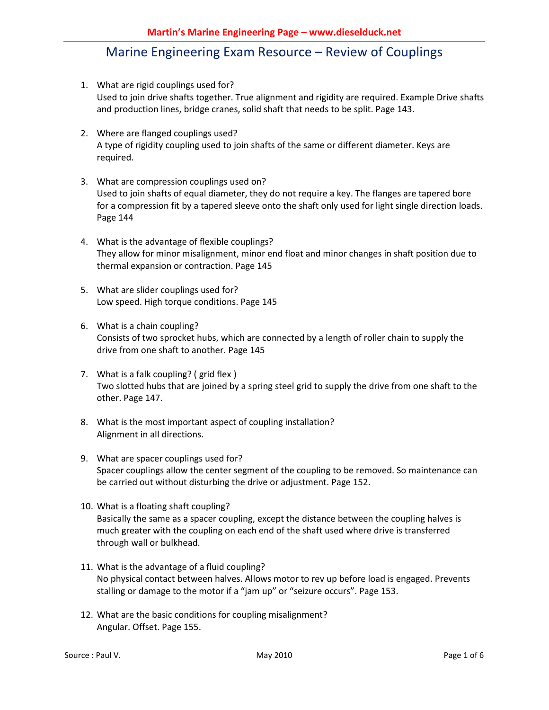- 1. What are rigid couplings used for? Used to join drive shafts together. True alignment and rigidity are required. Example Drive shafts and production lines, bridge cranes, solid shaft that needs to be split. Page 143.
- 2. Where are flanged couplings used? A type of rigidity coupling used to join shafts of the same or different diameter. Keys are required.
- 3. What are compression couplings used on? Used to join shafts of equal diameter, they do not require a key. The flanges are tapered bore for a compression fit by a tapered sleeve onto the shaft only used for light single direction loads. Page 144
- 4. What is the advantage of flexible couplings? They allow for minor misalignment, minor end float and minor changes in shaft position due to thermal expansion or contraction. Page 145
- 5. What are slider couplings used for? Low speed. High torque conditions. Page 145
- 6. What is a chain coupling? Consists of two sprocket hubs, which are connected by a length of roller chain to supply the drive from one shaft to another. Page 145
- 7. What is a falk coupling? ( grid flex ) Two slotted hubs that are joined by a spring steel grid to supply the drive from one shaft to the other. Page 147.
- 8. What is the most important aspect of coupling installation? Alignment in all directions.
- 9. What are spacer couplings used for? Spacer couplings allow the center segment of the coupling to be removed. So maintenance can be carried out without disturbing the drive or adjustment. Page 152.
- 10. What is a floating shaft coupling? Basically the same as a spacer coupling, except the distance between the coupling halves is much greater with the coupling on each end of the shaft used where drive is transferred through wall or bulkhead.
- 11. What is the advantage of a fluid coupling? No physical contact between halves. Allows motor to rev up before load is engaged. Prevents stalling or damage to the motor if a "jam up" or "seizure occurs". Page 153.
- 12. What are the basic conditions for coupling misalignment? Angular. Offset. Page 155.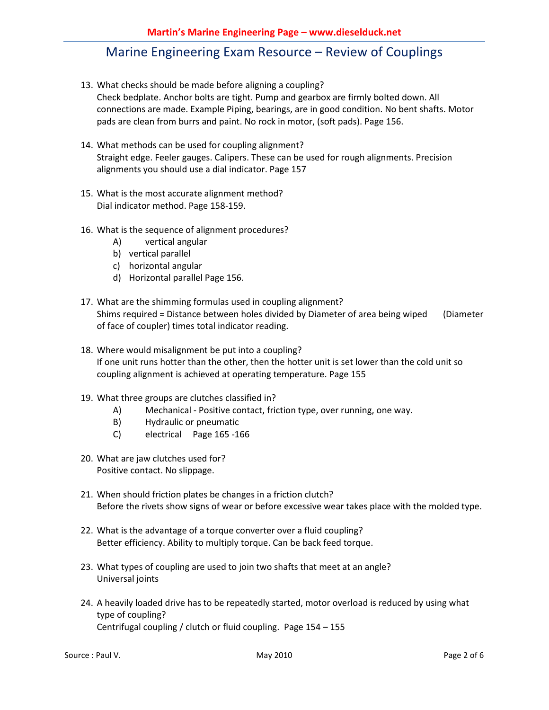- 13. What checks should be made before aligning a coupling? Check bedplate. Anchor bolts are tight. Pump and gearbox are firmly bolted down. All connections are made. Example Piping, bearings, are in good condition. No bent shafts. Motor pads are clean from burrs and paint. No rock in motor, (soft pads). Page 156.
- 14. What methods can be used for coupling alignment? Straight edge. Feeler gauges. Calipers. These can be used for rough alignments. Precision alignments you should use a dial indicator. Page 157
- 15. What is the most accurate alignment method? Dial indicator method. Page 158-159.
- 16. What is the sequence of alignment procedures?
	- A) vertical angular
	- b) vertical parallel
	- c) horizontal angular
	- d) Horizontal parallel Page 156.
- 17. What are the shimming formulas used in coupling alignment? Shims required = Distance between holes divided by Diameter of area being wiped (Diameter of face of coupler) times total indicator reading.
- 18. Where would misalignment be put into a coupling? If one unit runs hotter than the other, then the hotter unit is set lower than the cold unit so coupling alignment is achieved at operating temperature. Page 155
- 19. What three groups are clutches classified in?
	- A) Mechanical Positive contact, friction type, over running, one way.
	- B) Hydraulic or pneumatic
	- C) electrical Page 165 -166
- 20. What are jaw clutches used for? Positive contact. No slippage.
- 21. When should friction plates be changes in a friction clutch? Before the rivets show signs of wear or before excessive wear takes place with the molded type.
- 22. What is the advantage of a torque converter over a fluid coupling? Better efficiency. Ability to multiply torque. Can be back feed torque.
- 23. What types of coupling are used to join two shafts that meet at an angle? Universal joints
- 24. A heavily loaded drive has to be repeatedly started, motor overload is reduced by using what type of coupling? Centrifugal coupling / clutch or fluid coupling. Page 154 – 155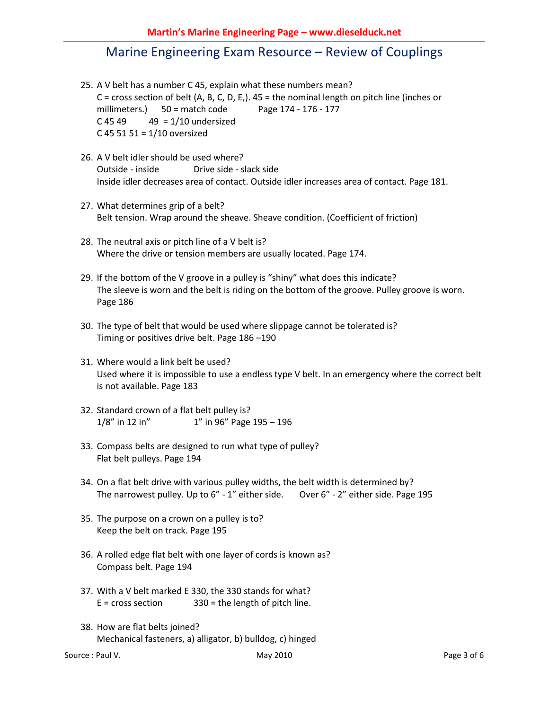- 25. A V belt has a number C 45, explain what these numbers mean?  $C$  = cross section of belt (A, B, C, D, E,).  $45$  = the nominal length on pitch line (inches or millimeters.) 50 = match code Page 174 - 176 - 177  $C$  45 49  $49 = 1/10$  undersized C 45 51 51 = 1/10 oversized
- 26. A V belt idler should be used where? Outside - inside Drive side - slack side Inside idler decreases area of contact. Outside idler increases area of contact. Page 181.
- 27. What determines grip of a belt? Belt tension. Wrap around the sheave. Sheave condition. (Coefficient of friction)
- 28. The neutral axis or pitch line of a V belt is? Where the drive or tension members are usually located. Page 174.
- 29. If the bottom of the V groove in a pulley is "shiny" what does this indicate? The sleeve is worn and the belt is riding on the bottom of the groove. Pulley groove is worn. Page 186
- 30. The type of belt that would be used where slippage cannot be tolerated is? Timing or positives drive belt. Page 186 –190
- 31. Where would a link belt be used? Used where it is impossible to use a endless type V belt. In an emergency where the correct belt is not available. Page 183
- 32. Standard crown of a flat belt pulley is? 1/8" in 12 in" 1" in 96" Page 195 – 196
- 33. Compass belts are designed to run what type of pulley? Flat belt pulleys. Page 194
- 34. On a flat belt drive with various pulley widths, the belt width is determined by? The narrowest pulley. Up to 6" - 1" either side. Over 6" - 2" either side. Page 195
- 35. The purpose on a crown on a pulley is to? Keep the belt on track. Page 195
- 36. A rolled edge flat belt with one layer of cords is known as? Compass belt. Page 194
- 37. With a V belt marked E 330, the 330 stands for what?  $E = \text{cross section}$  330 = the length of pitch line.
- 38. How are flat belts joined? Mechanical fasteners, a) alligator, b) bulldog, c) hinged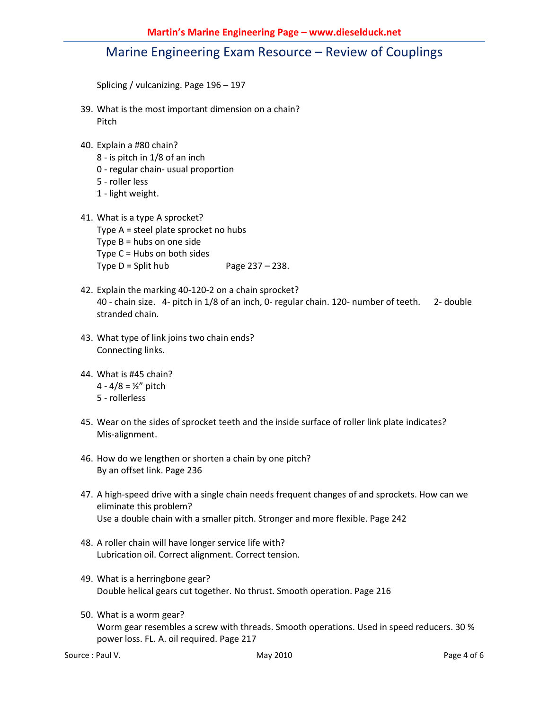Splicing / vulcanizing. Page 196 – 197

- 39. What is the most important dimension on a chain? Pitch
- 40. Explain a #80 chain?
	- 8 is pitch in 1/8 of an inch
	- 0 regular chain- usual proportion
	- 5 roller less
	- 1 light weight.
- 41. What is a type A sprocket? Type A = steel plate sprocket no hubs Type  $B = hubs$  on one side Type C = Hubs on both sides Type  $D = Split hub$  Page  $237 - 238$ .
- 42. Explain the marking 40-120-2 on a chain sprocket? 40 - chain size. 4- pitch in 1/8 of an inch, 0- regular chain. 120- number of teeth. 2- double stranded chain.
- 43. What type of link joins two chain ends? Connecting links.
- 44. What is #45 chain? 4 -  $4/8 = ½"$  pitch
	- 5 rollerless
- 45. Wear on the sides of sprocket teeth and the inside surface of roller link plate indicates? Mis-alignment.
- 46. How do we lengthen or shorten a chain by one pitch? By an offset link. Page 236
- 47. A high-speed drive with a single chain needs frequent changes of and sprockets. How can we eliminate this problem? Use a double chain with a smaller pitch. Stronger and more flexible. Page 242
- 48. A roller chain will have longer service life with? Lubrication oil. Correct alignment. Correct tension.
- 49. What is a herringbone gear? Double helical gears cut together. No thrust. Smooth operation. Page 216
- 50. What is a worm gear? Worm gear resembles a screw with threads. Smooth operations. Used in speed reducers. 30 % power loss. FL. A. oil required. Page 217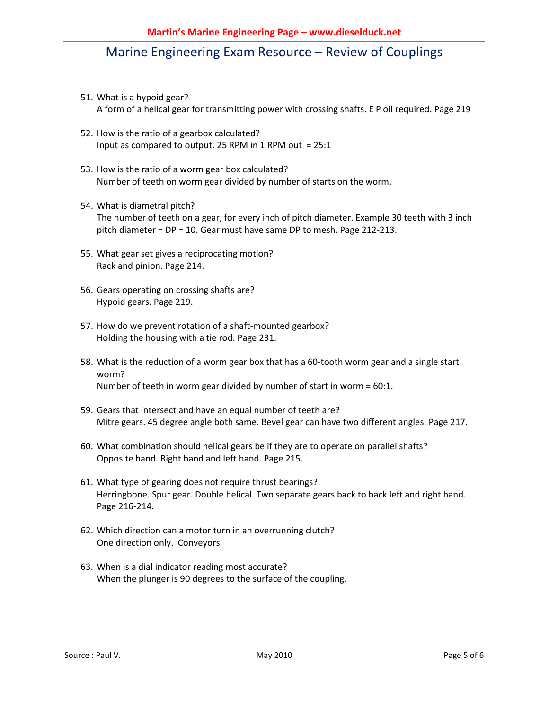- 51. What is a hypoid gear? A form of a helical gear for transmitting power with crossing shafts. E P oil required. Page 219
- 52. How is the ratio of a gearbox calculated? Input as compared to output. 25 RPM in 1 RPM out = 25:1
- 53. How is the ratio of a worm gear box calculated? Number of teeth on worm gear divided by number of starts on the worm.
- 54. What is diametral pitch? The number of teeth on a gear, for every inch of pitch diameter. Example 30 teeth with 3 inch pitch diameter = DP = 10. Gear must have same DP to mesh. Page 212-213.
- 55. What gear set gives a reciprocating motion? Rack and pinion. Page 214.
- 56. Gears operating on crossing shafts are? Hypoid gears. Page 219.
- 57. How do we prevent rotation of a shaft-mounted gearbox? Holding the housing with a tie rod. Page 231.
- 58. What is the reduction of a worm gear box that has a 60-tooth worm gear and a single start worm? Number of teeth in worm gear divided by number of start in worm = 60:1.
- 59. Gears that intersect and have an equal number of teeth are? Mitre gears. 45 degree angle both same. Bevel gear can have two different angles. Page 217.
- 60. What combination should helical gears be if they are to operate on parallel shafts? Opposite hand. Right hand and left hand. Page 215.
- 61. What type of gearing does not require thrust bearings? Herringbone. Spur gear. Double helical. Two separate gears back to back left and right hand. Page 216-214.
- 62. Which direction can a motor turn in an overrunning clutch? One direction only. Conveyors.
- 63. When is a dial indicator reading most accurate? When the plunger is 90 degrees to the surface of the coupling.